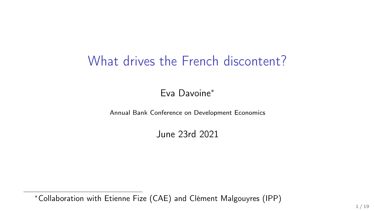# What drives the French discontent?

Eva Davoine<sup>∗</sup>

Annual Bank Conference on Development Economics

June 23rd 2021

<sup>∗</sup>Collaboration with Etienne Fize (CAE) and Clément Malgouyres (IPP)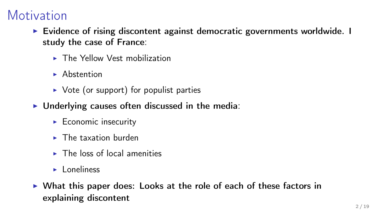## **Motivation**

- $\triangleright$  Evidence of rising discontent against democratic governments worldwide. I study the case of France:
	- $\blacktriangleright$  The Yellow Vest mobilization
	- $\blacktriangleright$  Abstention
	- $\triangleright$  Vote (or support) for populist parties
- $\triangleright$  Underlying causes often discussed in the media:
	- $\blacktriangleright$  Economic insecurity
	- $\blacktriangleright$  The taxation burden
	- $\blacktriangleright$  The loss of local amenities
	- $\blacktriangleright$  Loneliness
- $\triangleright$  What this paper does: Looks at the role of each of these factors in explaining discontent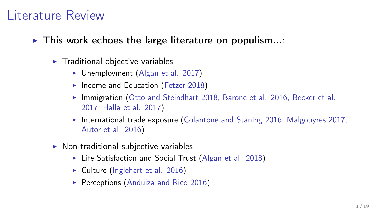#### Literature Review

- $\triangleright$  This work echoes the large literature on populism...:
	- $\blacktriangleright$  Traditional objective variables
		- $\triangleright$  Unemployment (Algan et al. 2017)
		- $\blacktriangleright$  Income and Education (Fetzer 2018)
		- Immigration (Otto and Steindhart 2018, Barone et al. 2016, Becker et al. 2017, Halla et al. 2017)
		- $\triangleright$  International trade exposure (Colantone and Staning 2016, Malgouyres 2017, Autor et al. 2016)
	- $\triangleright$  Non-traditional subjective variables
		- $\blacktriangleright$  Life Satisfaction and Social Trust (Algan et al. 2018)
		- $\triangleright$  Culture (Inglehart et al. 2016)
		- **Perceptions (Anduiza and Rico 2016)**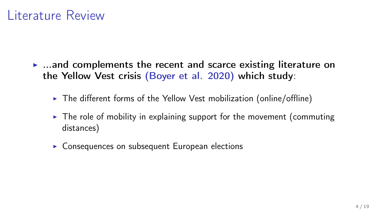#### Literature Review

- $\blacktriangleright$  ...and complements the recent and scarce existing literature on the Yellow Vest crisis (Boyer et al. 2020) which study:
	- $\triangleright$  The different forms of the Yellow Vest mobilization (online/offline)
	- $\triangleright$  The role of mobility in explaining support for the movement (commuting distances)
	- $\triangleright$  Consequences on subsequent European elections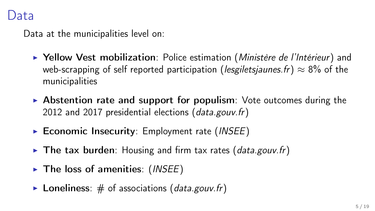Data at the municipalities level on:

- **> Yellow Vest mobilization**: Police estimation (Ministère de l'Intérieur) and web-scrapping of self reported participation (*lesgiletsjaunes.fr*)  $\approx 8\%$  of the municipalities
- $\triangleright$  Abstention rate and support for populism: Vote outcomes during the 2012 and 2017 presidential elections (data.gouv.fr)
- $\triangleright$  Economic Insecurity: Employment rate (INSEE)
- $\triangleright$  The tax burden: Housing and firm tax rates (data.gouv.fr)
- $\triangleright$  The loss of amenities: (INSEE)
- $\triangleright$  Loneliness: # of associations (data.gouv.fr)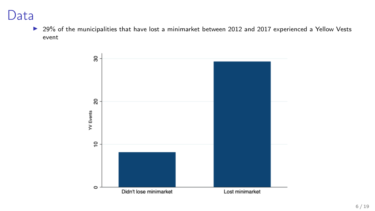#### Data

▶ 29% of the municipalities that have lost a minimarket between 2012 and 2017 experienced a Yellow Vests event

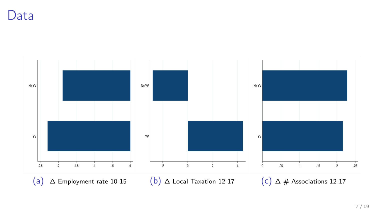Data

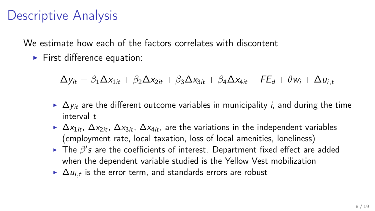We estimate how each of the factors correlates with discontent

 $\blacktriangleright$  First difference equation:

$$
\Delta y_{it} = \beta_1 \Delta x_{1it} + \beta_2 \Delta x_{2it} + \beta_3 \Delta x_{3it} + \beta_4 \Delta x_{4it} + FE_d + \theta w_i + \Delta u_{i,t}
$$

- $\triangleright \Delta y_i$  are the different outcome variables in municipality *i*, and during the time interval t
- $\triangleright$   $\Delta x_{1it}$ ,  $\Delta x_{2it}$ ,  $\Delta x_{3it}$ ,  $\Delta x_{4it}$ , are the variations in the independent variables (employment rate, local taxation, loss of local amenities, loneliness)
- The  $\beta'$ s are the coefficients of interest. Department fixed effect are added when the dependent variable studied is the Yellow Vest mobilization
- ►  $\Delta u_{i,t}$  is the error term, and standards errors are robust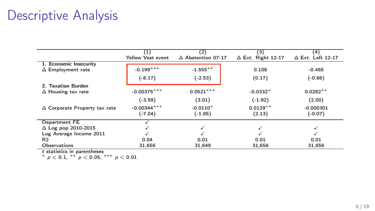|                                      | (1)               | (2)                          | (3)                       | (4)                      |
|--------------------------------------|-------------------|------------------------------|---------------------------|--------------------------|
|                                      | Yellow Vest event | $\triangle$ Abstention 07-17 | $\Delta$ Ext. Right 12-17 | $\Delta$ Ext. Left 12-17 |
| 1. Economic Insecurity               |                   |                              |                           |                          |
| $\Delta$ Employment rate             | $-0.199***$       | $-1.555$ **                  | 0.108                     | $-0.465$                 |
|                                      | $(-8.17)$         | $(-2.53)$                    | (0.17)                    | $(-0.86)$                |
| 2. Taxation Burden                   |                   |                              |                           |                          |
| $\Delta$ Housing tax rate            | $-0.00375***$     | $0.0521***$                  | $-0.0332*$                | $0.0282**$               |
|                                      | $(-3.59)$         | (3.01)                       | $(-1.92)$                 | (2.00)                   |
| $\Delta$ Corporate Property tax rate | $-0.00344***$     | $-0.0110*$                   | $0.0129**$                | $-0.000301$              |
|                                      | $(-7.04)$         | $(-1.85)$                    | (2.13)                    | $(-0.07)$                |
| Department FE                        |                   |                              |                           |                          |
| $\Delta$ Log pop 2010-2015           |                   | √                            |                           |                          |
| Log Average Income 2011              |                   |                              |                           |                          |
| R <sub>2</sub>                       | 0.04              | 0.01                         | 0.01                      | 0.01                     |
| <b>Observations</b>                  | 31.656            | 31,649                       | 31.656                    | 31,656                   |

t statistics in parentheses<br>\*  $\rho < 0.1$ , \*\*  $\rho < 0.05$ , \*\*\*  $\rho < 0.01$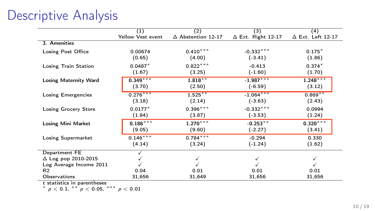|                   |                           |                           | (4)                      |
|-------------------|---------------------------|---------------------------|--------------------------|
| Yellow Vest event | $\Delta$ Abstention 12-17 | $\Delta$ Ext. Right 12-17 | $\Delta$ Ext. Left 12-17 |
|                   |                           |                           |                          |
| 0.00674           | $0.410***$                | $-0.332***$               | $0.175*$                 |
| (0.65)            | (4.00)                    | $(-3.41)$                 | (1.86)                   |
| $0.0487*$         |                           | $-0.413$                  | $0.374*$                 |
| (1.67)            | (3.25)                    | $(-1.60)$                 | (1.70)                   |
| $0.349***$        | $1.818***$                | $-1.987***$               | $1.248***$               |
| (3.70)            | (2.50)                    | $(-6.59)$                 | (3.12)                   |
| $0.276***$        | $1.525***$                | $-1.064***$               | $0.869**$                |
| (3.18)            | (2.14)                    | $(-3.63)$                 | (2.43)                   |
| $0.0177*$         | $0.396***$                | $-0.332***$               | 0.0994                   |
| (1.84)            | (3.87)                    | $(-3.53)$                 | (1.24)                   |
|                   | $1.270***$                | $-0.253**$                | $0.320***$               |
| (9.05)            | (9.60)                    | $(-2.27)$                 | (3.41)                   |
| $0.146***$        | $0.784***$                | $-0.294$                  | 0.330                    |
| (4.14)            | (3.24)                    | $(-1.24)$                 | (1.62)                   |
|                   |                           |                           |                          |
|                   |                           |                           |                          |
|                   |                           |                           |                          |
|                   |                           |                           | 0.01                     |
| 31,656            | 31,649                    | 31,656                    | 31,656                   |
|                   | (1)<br>$0.186***$<br>0.04 | (2)<br>$0.822***$<br>0.01 | (3)<br>0.01              |

t statistics in parentheses<br>\*  $p < 0.1$ , \*\*  $p < 0.05$ , \*\*\*  $p < 0.01$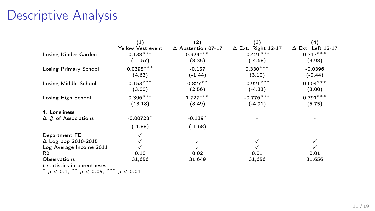| (1)               | (2)                          | (3)                       | (4)                      |
|-------------------|------------------------------|---------------------------|--------------------------|
| Yellow Vest event | $\triangle$ Abstention 07-17 | $\Delta$ Ext. Right 12-17 | $\Delta$ Ext. Left 12-17 |
| $0.138***$        | $0.924***$                   | $-0.421***$               | $0.317***$               |
| (11.57)           | (8.35)                       | $(-4.68)$                 | (3.98)                   |
| $0.0395***$       | $-0.157$                     |                           | $-0.0396$                |
| (4.63)            | $(-1.44)$                    | (3.10)                    | $(-0.44)$                |
|                   | $0.827**$                    | $-0.921***$               | $0.604***$               |
| (3.00)            | (2.56)                       | $(-4.33)$                 | (3.00)                   |
| $0.396***$        | $1.727***$                   | $-0.776***$               | $0.791***$               |
| (13.18)           | (8.49)                       | $(-4.91)$                 | (5.75)                   |
|                   |                              |                           |                          |
| $-0.00728*$       | $-0.139*$                    |                           |                          |
| $(-1.88)$         | $(-1.68)$                    |                           |                          |
|                   |                              |                           |                          |
|                   |                              |                           |                          |
|                   |                              |                           |                          |
| 0.10              | 0.02                         | 0.01                      | 0.01                     |
| 31,656            | 31,649                       | 31,656                    | 31,656                   |
|                   | $0.153***$                   |                           | $0.330***$               |

t statistics in parentheses<br>\*  $p < 0.1$ , \*\*  $p < 0.05$ , \*\*\*  $p < 0.01$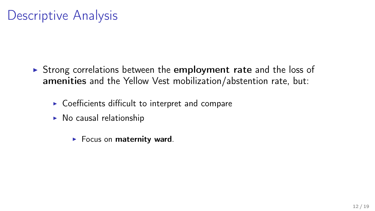- $\triangleright$  Strong correlations between the employment rate and the loss of amenities and the Yellow Vest mobilization/abstention rate, but:
	- $\triangleright$  Coefficients difficult to interpret and compare
	- $\triangleright$  No causal relationship
		- $\blacktriangleright$  Focus on maternity ward.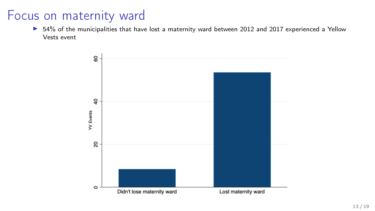$\triangleright$  54% of the municipalities that have lost a maternity ward between 2012 and 2017 experienced a Yellow Vests event

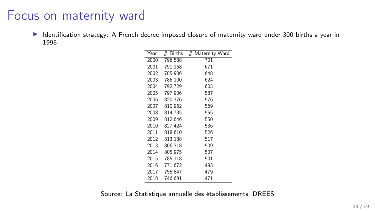Identification strategy: A French decree imposed closure of maternity ward under 300 births a year in 1998

| Year | Births<br># | # Maternity Ward |
|------|-------------|------------------|
| 2000 | 796.588     | 701              |
| 2001 | 791.168     | 671              |
| 2002 | 785,906     | 648              |
| 2003 | 786.100     | 624              |
| 2004 | 792.729     | 603              |
| 2005 | 797,906     | 587              |
| 2006 | 820,376     | 576              |
| 2007 | 810,962     | 569              |
| 2008 | 814.735     | 555              |
| 2009 | 812,646     | 550              |
| 2010 | 827.424     | 536              |
| 2011 | 818,610     | 526              |
| 2012 | 813,188     | 517              |
| 2013 | 806.318     | 509              |
| 2014 | 805,975     | 507              |
| 2015 | 785,118     | 501              |
| 2016 | 771,672     | 493              |
| 2017 | 755.847     | 479              |
| 2018 | 746,691     | 471              |

Source: La Statistique annuelle des établissements, DREES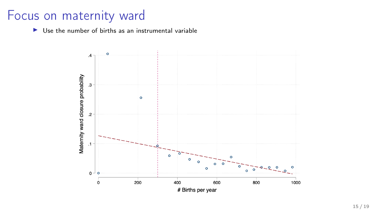$\blacktriangleright$  Use the number of births as an instrumental variable

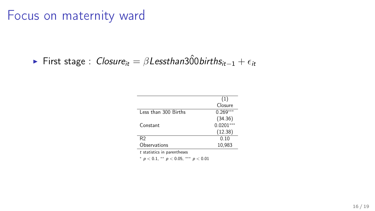**First stage :** Closure<sub>it</sub> =  $\beta$ Lessthan 300 births<sub>it−1</sub> +  $\epsilon_{it}$ 

|                      | (1)        |
|----------------------|------------|
|                      | Closure    |
| Less than 300 Births | 0.269      |
|                      | (34.36)    |
| Constant             | $0.0201**$ |
|                      | (12.38)    |
| R2                   | 0.10       |
| Observations         | 10,983     |
|                      |            |

<sup>t</sup> statistics in parentheses

<sup>∗</sup> p < 0.1, ∗∗ p < 0.05, ∗∗∗ p < 0.01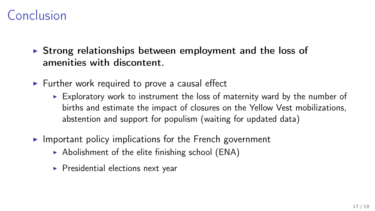## Conclusion

- $\triangleright$  Strong relationships between employment and the loss of amenities with discontent.
- $\triangleright$  Further work required to prove a causal effect
	- $\triangleright$  Exploratory work to instrument the loss of maternity ward by the number of births and estimate the impact of closures on the Yellow Vest mobilizations, abstention and support for populism (waiting for updated data)
- $\blacktriangleright$  Important policy implications for the French government
	- $\triangleright$  Abolishment of the elite finishing school (ENA)
	- $\blacktriangleright$  Presidential elections next year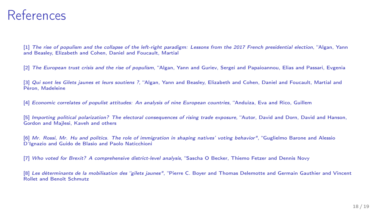#### References

[1] The rise of populism and the collapse of the left-right paradigm: Lessons from the 2017 French presidential election, "Algan, Yann and Beasley, Elizabeth and Cohen, Daniel and Foucault, Martial

[2] The European trust crisis and the rise of populism, "Algan, Yann and Guriev, Sergei and Papaioannou, Elias and Passari, Evgenia

[3] Qui sont les Gilets jaunes et leurs soutiens ?, "Algan, Yann and Beasley, Elizabeth and Cohen, Daniel and Foucault, Martial and Péron, Madeleine

[4] Economic correlates of populist attitudes: An analysis of nine European countries, "Anduiza, Eva and Rico, Guillem

[5] *Importing political polarization? The electoral consequences of rising trade exposure*. "Autor, David and Dorn, David and Hanson, Gordon and Majlesi, Kaveh and others

[6] Mr. Rossi, Mr. Hu and politics. The role of immigration in shaping natives' voting behavior", "Guglielmo Barone and Alessio D'Ignazio and Guido de Blasio and Paolo Naticchioni

[7] Who voted for Brexit? A comprehensive district-level analysis, "Sascha O Becker, Thiemo Fetzer and Dennis Novy

[8] Les déterminants de la mobilisation des "gilets jaunes", "Pierre C. Boyer and Thomas Delemotte and Germain Gauthier and Vincent Rollet and Benoît Schmutz